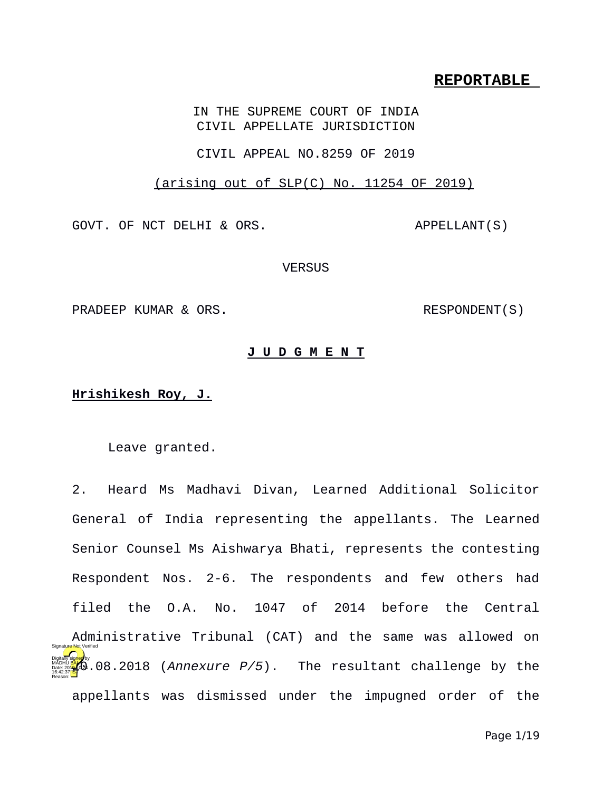## **REPORTABLE**

IN THE SUPREME COURT OF INDIA CIVIL APPELLATE JURISDICTION

CIVIL APPEAL NO.8259 OF 2019

(arising out of SLP(C) No. 11254 OF 2019)

GOVT. OF NCT DELHI & ORS. APPELLANT(S)

**VERSUS** 

PRADEEP KUMAR & ORS. RESPONDENT(S)

## **J U D G M E N T**

## **Hrishikesh Roy, J.**

Leave granted.

2. Heard Ms Madhavi Divan, Learned Additional Solicitor General of India representing the appellants. The Learned Senior Counsel Ms Aishwarya Bhati, represents the contesting Respondent Nos. 2-6. The respondents and few others had filed the O.A. No. 1047 of 2014 before the Central Administrative Tribunal (CAT) and the same was allowed on **Date: 200**.08.2018 (*Annexure P/5*). The resultant challenge by the appellants was dismissed under the impugned order of the 16:42:37 IST Reason: Signature Not Verified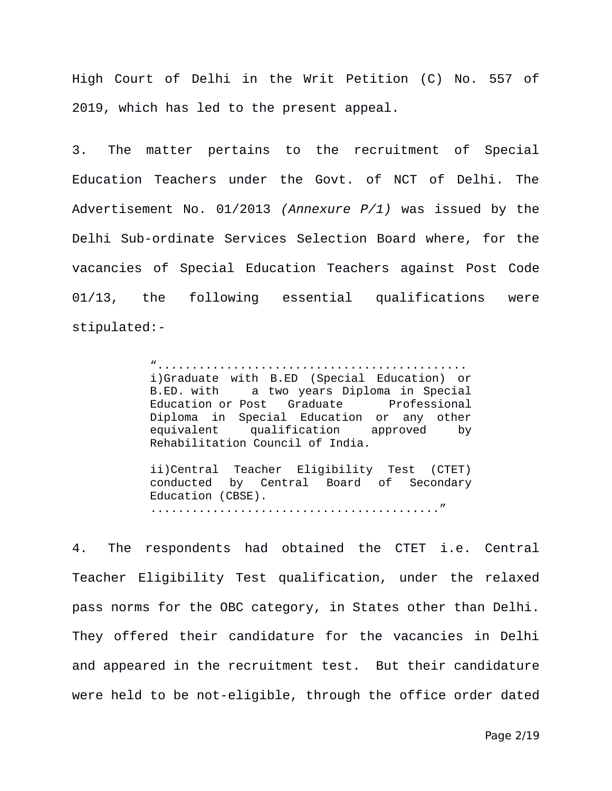High Court of Delhi in the Writ Petition (C) No. 557 of 2019, which has led to the present appeal.

3. The matter pertains to the recruitment of Special Education Teachers under the Govt. of NCT of Delhi. The Advertisement No. 01/2013 *(Annexure P/1)* was issued by the Delhi Sub-ordinate Services Selection Board where, for the vacancies of Special Education Teachers against Post Code 01/13, the following essential qualifications were stipulated:-

> "............................................. i)Graduate with B.ED (Special Education) or B.ED. with a two years Diploma in Special Education or Post Graduate Professional Diploma in Special Education or any other equivalent qualification approved by Rehabilitation Council of India.

> ii)Central Teacher Eligibility Test (CTET) conducted by Central Board of Secondary Education (CBSE). .........................................."

4. The respondents had obtained the CTET i.e. Central Teacher Eligibility Test qualification, under the relaxed pass norms for the OBC category, in States other than Delhi. They offered their candidature for the vacancies in Delhi and appeared in the recruitment test. But their candidature were held to be not-eligible, through the office order dated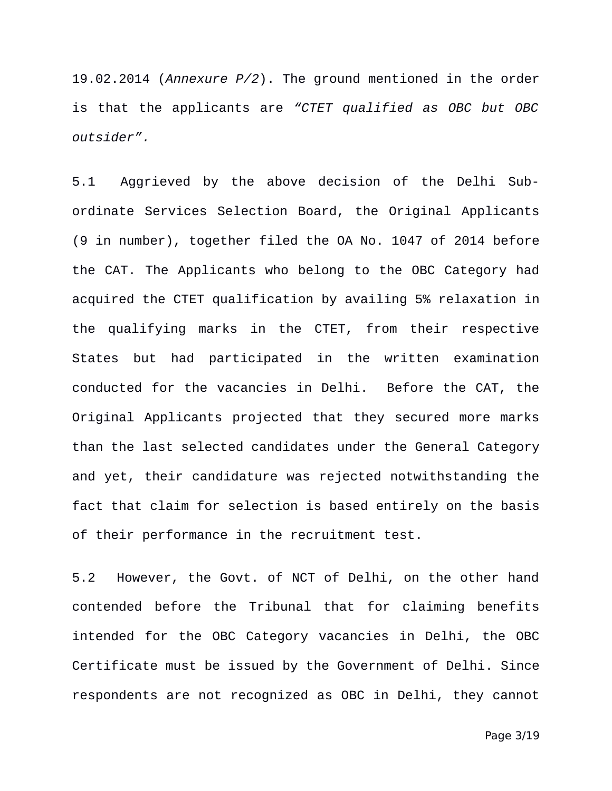19.02.2014 (*Annexure P/2*). The ground mentioned in the order is that the applicants are *"CTET qualified as OBC but OBC outsider".*

5.1 Aggrieved by the above decision of the Delhi Subordinate Services Selection Board, the Original Applicants (9 in number), together filed the OA No. 1047 of 2014 before the CAT. The Applicants who belong to the OBC Category had acquired the CTET qualification by availing 5% relaxation in the qualifying marks in the CTET, from their respective States but had participated in the written examination conducted for the vacancies in Delhi. Before the CAT, the Original Applicants projected that they secured more marks than the last selected candidates under the General Category and yet, their candidature was rejected notwithstanding the fact that claim for selection is based entirely on the basis of their performance in the recruitment test.

5.2 However, the Govt. of NCT of Delhi, on the other hand contended before the Tribunal that for claiming benefits intended for the OBC Category vacancies in Delhi, the OBC Certificate must be issued by the Government of Delhi. Since respondents are not recognized as OBC in Delhi, they cannot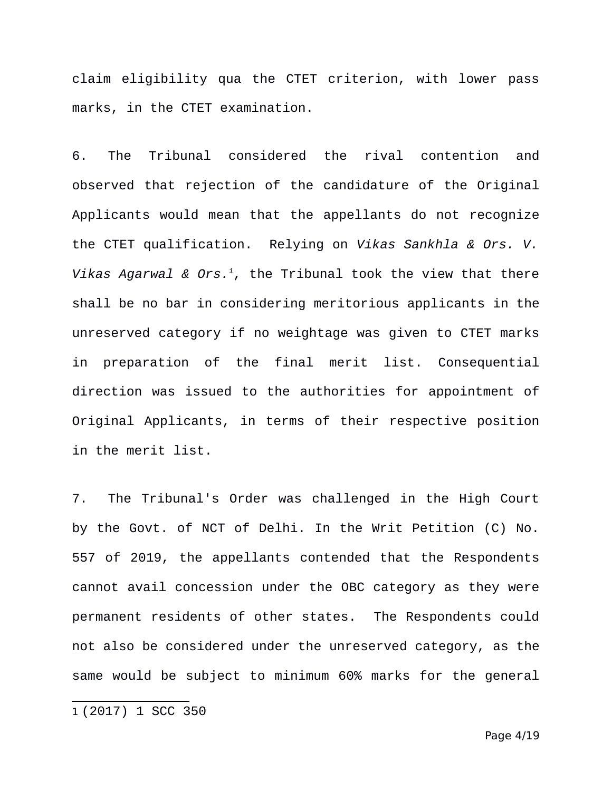claim eligibility qua the CTET criterion, with lower pass marks, in the CTET examination.

6. The Tribunal considered the rival contention and observed that rejection of the candidature of the Original Applicants would mean that the appellants do not recognize the CTET qualification. Relying on *Vikas Sankhla & Ors. V. Vikas Agarwal & Ors.[1](#page-3-0)*, the Tribunal took the view that there shall be no bar in considering meritorious applicants in the unreserved category if no weightage was given to CTET marks in preparation of the final merit list. Consequential direction was issued to the authorities for appointment of Original Applicants, in terms of their respective position in the merit list.

7. The Tribunal's Order was challenged in the High Court by the Govt. of NCT of Delhi. In the Writ Petition (C) No. 557 of 2019, the appellants contended that the Respondents cannot avail concession under the OBC category as they were permanent residents of other states. The Respondents could not also be considered under the unreserved category, as the same would be subject to minimum 60% marks for the general

<span id="page-3-0"></span>1 (2017) 1 SCC 350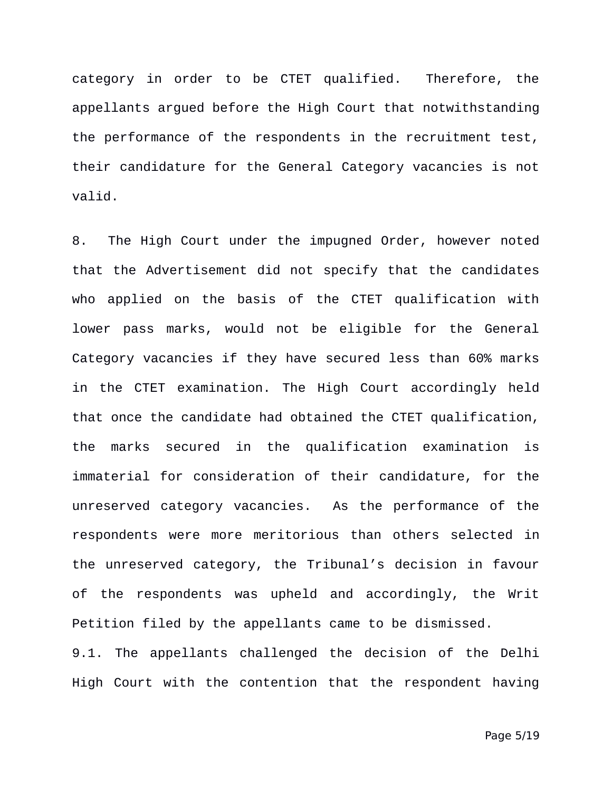category in order to be CTET qualified. Therefore, the appellants argued before the High Court that notwithstanding the performance of the respondents in the recruitment test, their candidature for the General Category vacancies is not valid.

8. The High Court under the impugned Order, however noted that the Advertisement did not specify that the candidates who applied on the basis of the CTET qualification with lower pass marks, would not be eligible for the General Category vacancies if they have secured less than 60% marks in the CTET examination. The High Court accordingly held that once the candidate had obtained the CTET qualification, the marks secured in the qualification examination is immaterial for consideration of their candidature, for the unreserved category vacancies. As the performance of the respondents were more meritorious than others selected in the unreserved category, the Tribunal's decision in favour of the respondents was upheld and accordingly, the Writ Petition filed by the appellants came to be dismissed. 9.1. The appellants challenged the decision of the Delhi

High Court with the contention that the respondent having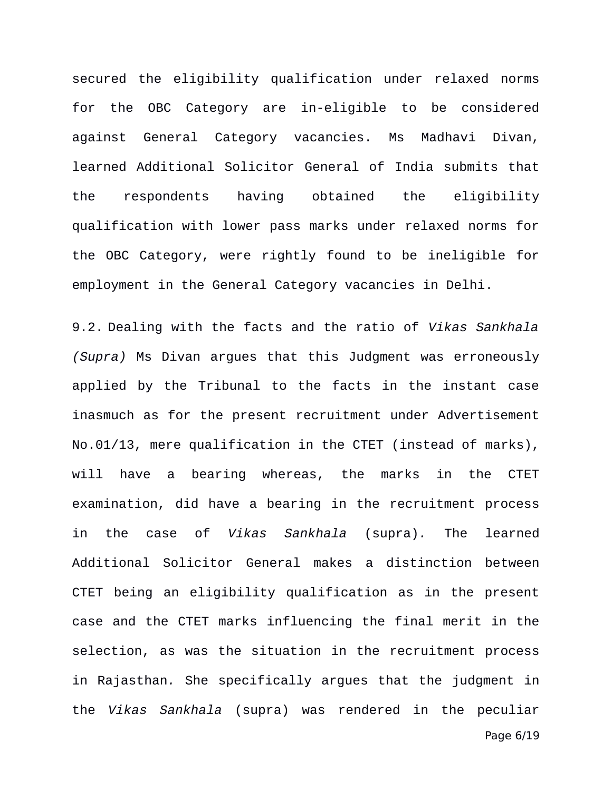secured the eligibility qualification under relaxed norms for the OBC Category are in-eligible to be considered against General Category vacancies. Ms Madhavi Divan, learned Additional Solicitor General of India submits that the respondents having obtained the eligibility qualification with lower pass marks under relaxed norms for the OBC Category, were rightly found to be ineligible for employment in the General Category vacancies in Delhi.

9.2. Dealing with the facts and the ratio of *Vikas Sankhala (Supra)* Ms Divan argues that this Judgment was erroneously applied by the Tribunal to the facts in the instant case inasmuch as for the present recruitment under Advertisement No.01/13, mere qualification in the CTET (instead of marks), will have a bearing whereas, the marks in the CTET examination, did have a bearing in the recruitment process in the case of *Vikas Sankhala* (supra)*.* The learned Additional Solicitor General makes a distinction between CTET being an eligibility qualification as in the present case and the CTET marks influencing the final merit in the selection, as was the situation in the recruitment process in Rajasthan*.* She specifically argues that the judgment in the *Vikas Sankhala* (supra) was rendered in the peculiar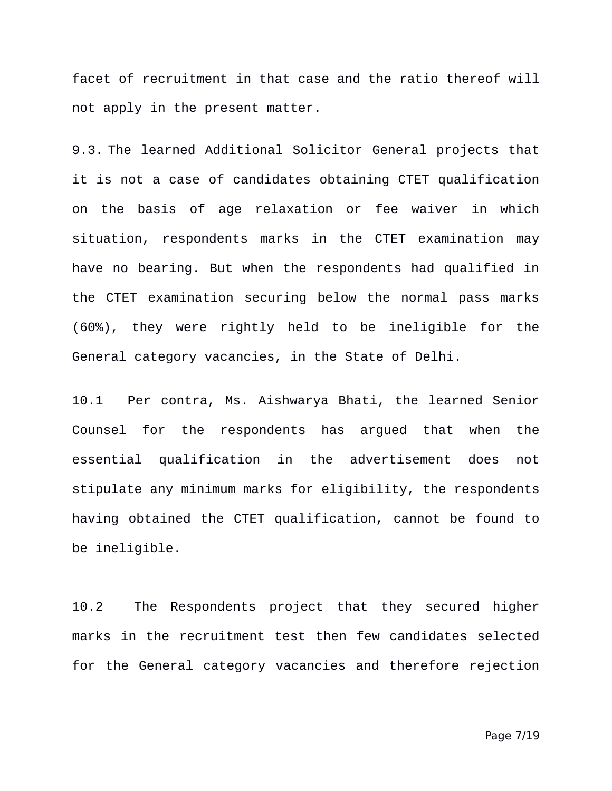facet of recruitment in that case and the ratio thereof will not apply in the present matter.

9.3. The learned Additional Solicitor General projects that it is not a case of candidates obtaining CTET qualification on the basis of age relaxation or fee waiver in which situation, respondents marks in the CTET examination may have no bearing. But when the respondents had qualified in the CTET examination securing below the normal pass marks (60%), they were rightly held to be ineligible for the General category vacancies, in the State of Delhi.

10.1 Per contra, Ms. Aishwarya Bhati, the learned Senior Counsel for the respondents has argued that when the essential qualification in the advertisement does not stipulate any minimum marks for eligibility, the respondents having obtained the CTET qualification, cannot be found to be ineligible.

10.2 The Respondents project that they secured higher marks in the recruitment test then few candidates selected for the General category vacancies and therefore rejection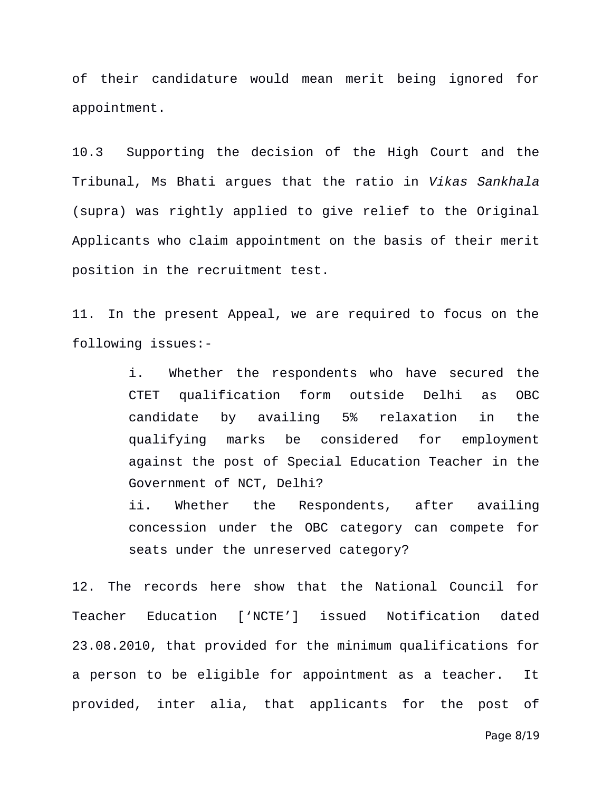of their candidature would mean merit being ignored for appointment.

10.3 Supporting the decision of the High Court and the Tribunal, Ms Bhati argues that the ratio in *Vikas Sankhala* (supra) was rightly applied to give relief to the Original Applicants who claim appointment on the basis of their merit position in the recruitment test.

11. In the present Appeal, we are required to focus on the following issues:-

> i. Whether the respondents who have secured the CTET qualification form outside Delhi as OBC candidate by availing 5% relaxation in the qualifying marks be considered for employment against the post of Special Education Teacher in the Government of NCT, Delhi? ii. Whether the Respondents, after availing concession under the OBC category can compete for

seats under the unreserved category?

12. The records here show that the National Council for Teacher Education ['NCTE'] issued Notification dated 23.08.2010, that provided for the minimum qualifications for a person to be eligible for appointment as a teacher. It provided, inter alia, that applicants for the post of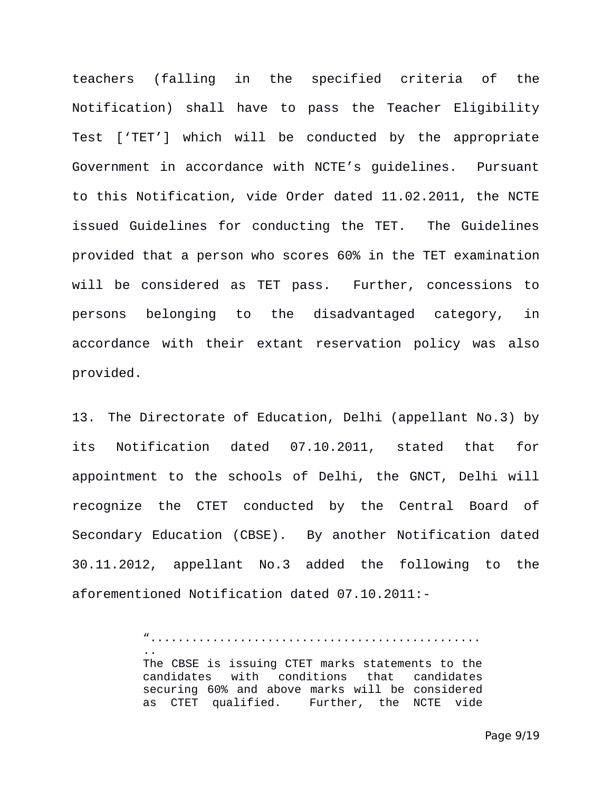teachers (falling in the specified criteria of the Notification) shall have to pass the Teacher Eligibility Test ['TET'] which will be conducted by the appropriate Government in accordance with NCTE's guidelines. Pursuant to this Notification, vide Order dated 11.02.2011, the NCTE issued Guidelines for conducting the TET. The Guidelines provided that a person who scores 60% in the TET examination will be considered as TET pass. Further, concessions to persons belonging to the disadvantaged category, in accordance with their extant reservation policy was also provided.

13. The Directorate of Education, Delhi (appellant No.3) by its Notification dated 07.10.2011, stated that for appointment to the schools of Delhi, the GNCT, Delhi will recognize the CTET conducted by the Central Board of Secondary Education (CBSE). By another Notification dated 30.11.2012, appellant No.3 added the following to the aforementioned Notification dated 07.10.2011:-

> "................................................ .. The CBSE is issuing CTET marks statements to the candidates with conditions that candidates securing 60% and above marks will be considered as CTET qualified. Further, the NCTE vide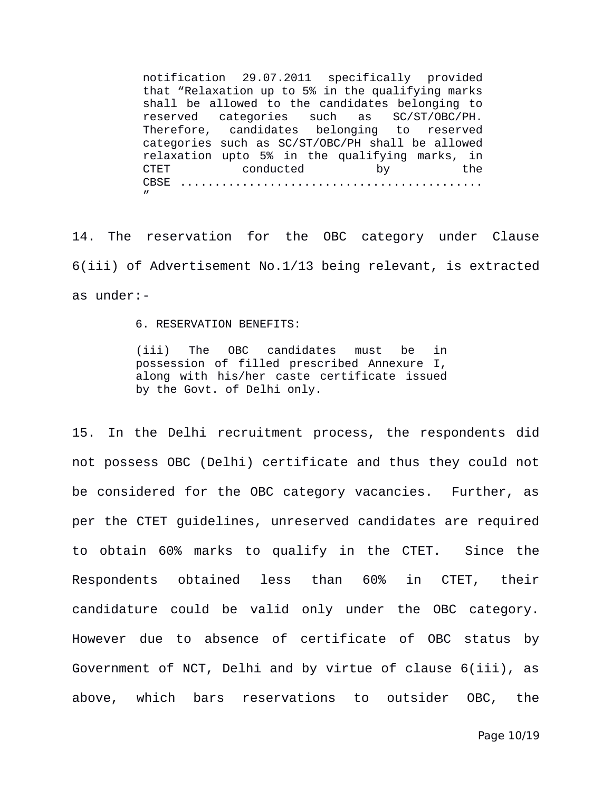notification 29.07.2011 specifically provided that "Relaxation up to 5% in the qualifying marks shall be allowed to the candidates belonging to reserved categories such as SC/ST/OBC/PH. Therefore, candidates belonging to reserved categories such as SC/ST/OBC/PH shall be allowed relaxation upto 5% in the qualifying marks, in CTET conducted by the CBSE ............................................ "

14. The reservation for the OBC category under Clause 6(iii) of Advertisement No.1/13 being relevant, is extracted as under:-

6. RESERVATION BENEFITS:

(iii) The OBC candidates must be in possession of filled prescribed Annexure I, along with his/her caste certificate issued by the Govt. of Delhi only.

15. In the Delhi recruitment process, the respondents did not possess OBC (Delhi) certificate and thus they could not be considered for the OBC category vacancies. Further, as per the CTET guidelines, unreserved candidates are required to obtain 60% marks to qualify in the CTET. Since the Respondents obtained less than 60% in CTET, their candidature could be valid only under the OBC category. However due to absence of certificate of OBC status by Government of NCT, Delhi and by virtue of clause 6(iii), as above, which bars reservations to outsider OBC, the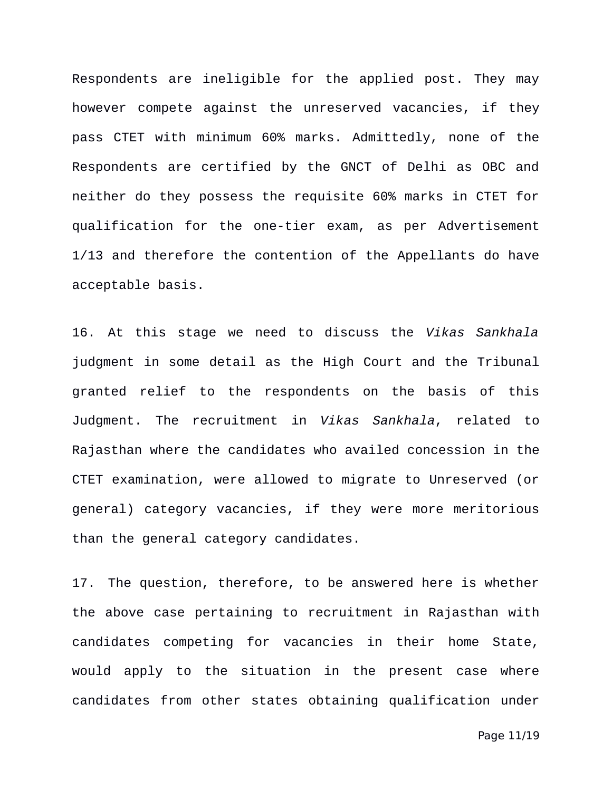Respondents are ineligible for the applied post. They may however compete against the unreserved vacancies, if they pass CTET with minimum 60% marks. Admittedly, none of the Respondents are certified by the GNCT of Delhi as OBC and neither do they possess the requisite 60% marks in CTET for qualification for the one-tier exam, as per Advertisement 1/13 and therefore the contention of the Appellants do have acceptable basis.

16. At this stage we need to discuss the *Vikas Sankhala* judgment in some detail as the High Court and the Tribunal granted relief to the respondents on the basis of this Judgment. The recruitment in *Vikas Sankhala*, related to Rajasthan where the candidates who availed concession in the CTET examination, were allowed to migrate to Unreserved (or general) category vacancies, if they were more meritorious than the general category candidates.

17. The question, therefore, to be answered here is whether the above case pertaining to recruitment in Rajasthan with candidates competing for vacancies in their home State, would apply to the situation in the present case where candidates from other states obtaining qualification under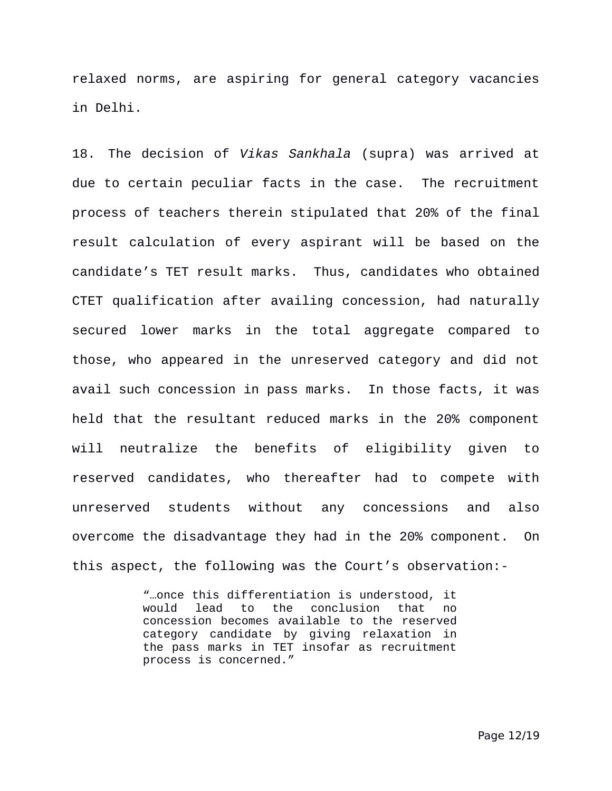relaxed norms, are aspiring for general category vacancies in Delhi.

18. The decision of *Vikas Sankhala* (supra) was arrived at due to certain peculiar facts in the case. The recruitment process of teachers therein stipulated that 20% of the final result calculation of every aspirant will be based on the candidate's TET result marks. Thus, candidates who obtained CTET qualification after availing concession, had naturally secured lower marks in the total aggregate compared to those, who appeared in the unreserved category and did not avail such concession in pass marks. In those facts, it was held that the resultant reduced marks in the 20% component will neutralize the benefits of eligibility given to reserved candidates, who thereafter had to compete with unreserved students without any concessions and also overcome the disadvantage they had in the 20% component. On this aspect, the following was the Court's observation:-

> "…once this differentiation is understood, it would lead to the conclusion that no concession becomes available to the reserved category candidate by giving relaxation in the pass marks in TET insofar as recruitment process is concerned."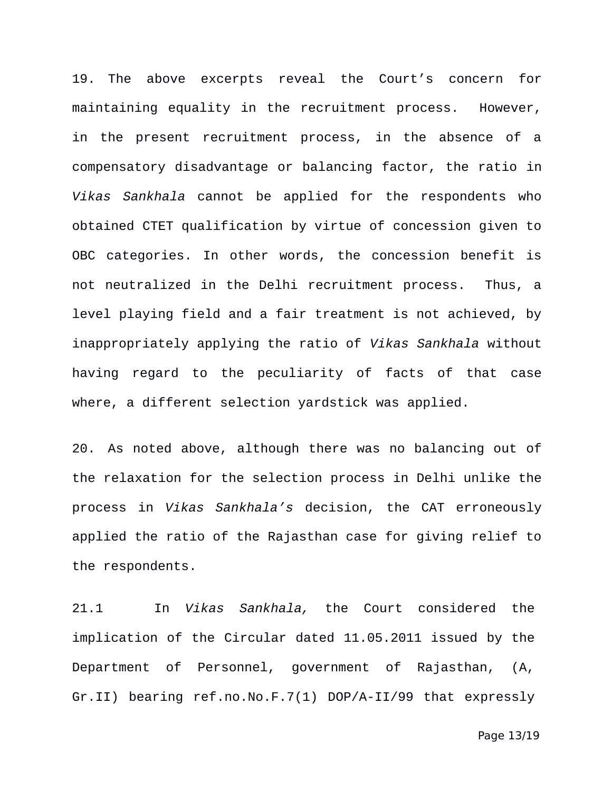19. The above excerpts reveal the Court's concern for maintaining equality in the recruitment process. However, in the present recruitment process, in the absence of a compensatory disadvantage or balancing factor, the ratio in *Vikas Sankhala* cannot be applied for the respondents who obtained CTET qualification by virtue of concession given to OBC categories. In other words, the concession benefit is not neutralized in the Delhi recruitment process. Thus, a level playing field and a fair treatment is not achieved, by inappropriately applying the ratio of *Vikas Sankhala* without having regard to the peculiarity of facts of that case where, a different selection yardstick was applied.

20. As noted above, although there was no balancing out of the relaxation for the selection process in Delhi unlike the process in *Vikas Sankhala's* decision, the CAT erroneously applied the ratio of the Rajasthan case for giving relief to the respondents.

21.1 In *Vikas Sankhala,* the Court considered the implication of the Circular dated 11.05.2011 issued by the Department of Personnel, government of Rajasthan, (A, Gr.II) bearing ref.no.No.F.7(1) DOP/A-II/99 that expressly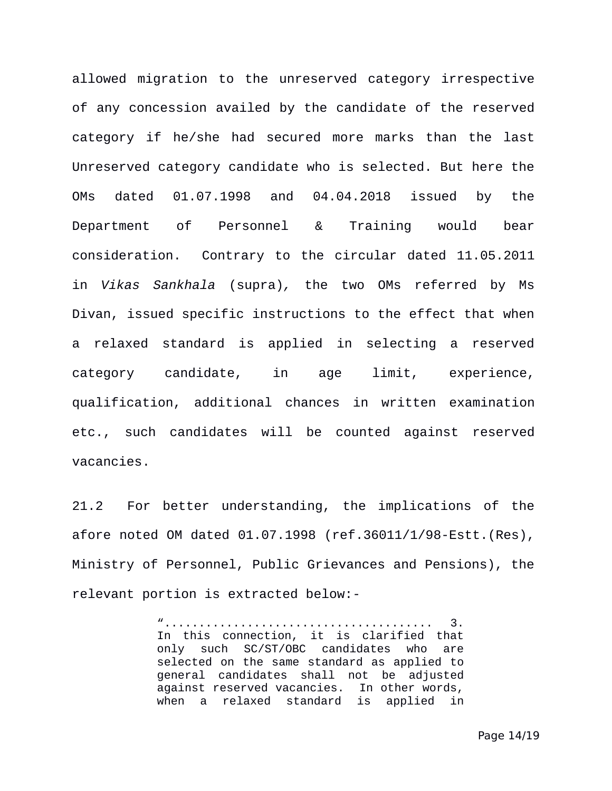allowed migration to the unreserved category irrespective of any concession availed by the candidate of the reserved category if he/she had secured more marks than the last Unreserved category candidate who is selected. But here the OMs dated 01.07.1998 and 04.04.2018 issued by the Department of Personnel & Training would bear consideration. Contrary to the circular dated 11.05.2011 in *Vikas Sankhala* (supra)*,* the two OMs referred by Ms Divan, issued specific instructions to the effect that when a relaxed standard is applied in selecting a reserved category candidate, in age limit, experience, qualification, additional chances in written examination etc., such candidates will be counted against reserved vacancies.

21.2 For better understanding, the implications of the afore noted OM dated 01.07.1998 (ref.36011/1/98-Estt.(Res), Ministry of Personnel, Public Grievances and Pensions), the relevant portion is extracted below:-

> "....................................... 3. In this connection, it is clarified that only such SC/ST/OBC candidates who are selected on the same standard as applied to general candidates shall not be adjusted against reserved vacancies. In other words, when a relaxed standard is applied in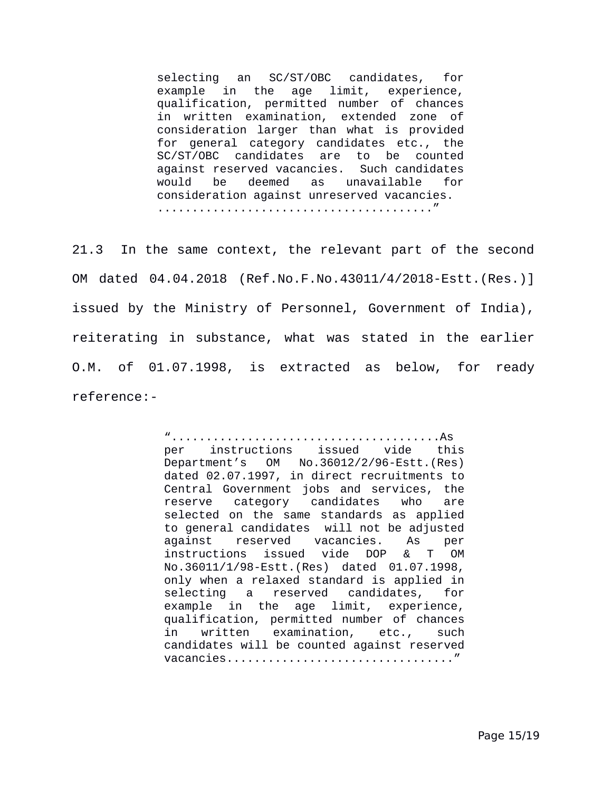selecting an SC/ST/OBC candidates, for example in the age limit, experience, qualification, permitted number of chances in written examination, extended zone of consideration larger than what is provided for general category candidates etc., the SC/ST/OBC candidates are to be counted against reserved vacancies. Such candidates would be deemed as unavailable for consideration against unreserved vacancies. ........................................"

21.3 In the same context, the relevant part of the second OM dated 04.04.2018 (Ref.No.F.No.43011/4/2018-Estt.(Res.)] issued by the Ministry of Personnel, Government of India), reiterating in substance, what was stated in the earlier O.M. of 01.07.1998, is extracted as below, for ready reference:-

> ".......................................As per instructions issued vide this Department's OM No.36012/2/96-Estt.(Res) dated 02.07.1997, in direct recruitments to Central Government jobs and services, the reserve category candidates who are selected on the same standards as applied to general candidates will not be adjusted against reserved vacancies. As per instructions issued vide DOP & T OM No.36011/1/98-Estt.(Res) dated 01.07.1998, only when a relaxed standard is applied in selecting a reserved candidates, for example in the age limit, experience, qualification, permitted number of chances in written examination, etc., such candidates will be counted against reserved vacancies................................."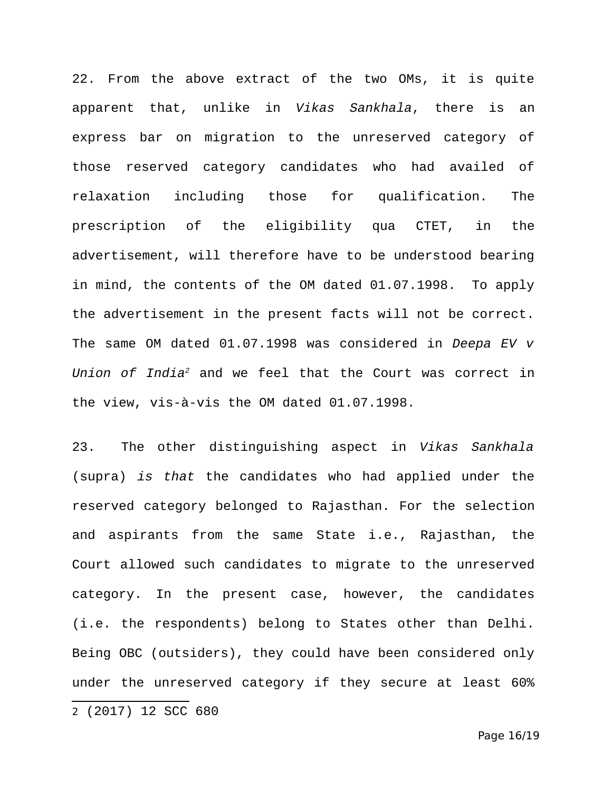22. From the above extract of the two OMs, it is quite apparent that, unlike in *Vikas Sankhala*, there is an express bar on migration to the unreserved category of those reserved category candidates who had availed of relaxation including those for qualification. The prescription of the eligibility qua CTET, in the advertisement, will therefore have to be understood bearing in mind, the contents of the OM dated 01.07.1998. To apply the advertisement in the present facts will not be correct. The same OM dated 01.07.1998 was considered in *Deepa EV v Union of India[2](#page-15-0)* and we feel that the Court was correct in the view, vis-à-vis the OM dated 01.07.1998.

<span id="page-15-0"></span>23. The other distinguishing aspect in *Vikas Sankhala* (supra) *is that* the candidates who had applied under the reserved category belonged to Rajasthan. For the selection and aspirants from the same State i.e., Rajasthan, the Court allowed such candidates to migrate to the unreserved category. In the present case, however, the candidates (i.e. the respondents) belong to States other than Delhi. Being OBC (outsiders), they could have been considered only under the unreserved category if they secure at least 60% 2 (2017) 12 SCC 680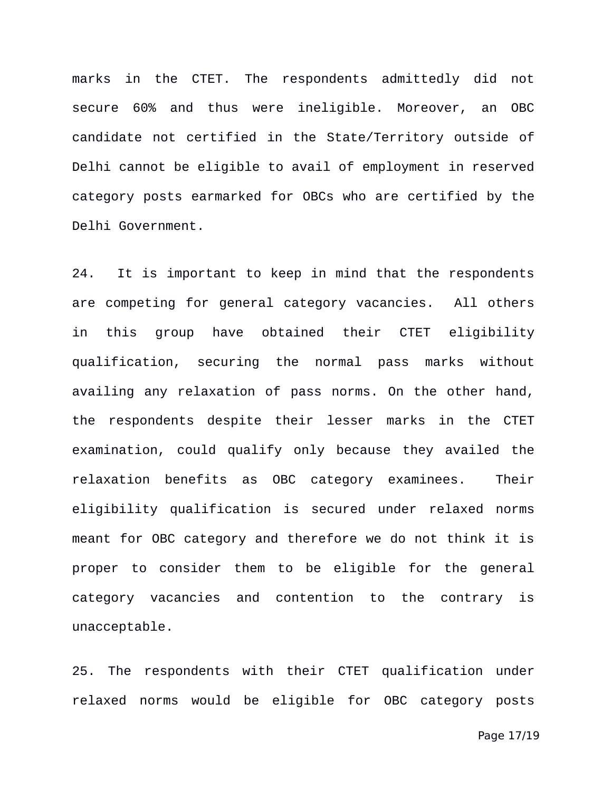marks in the CTET. The respondents admittedly did not secure 60% and thus were ineligible. Moreover, an OBC candidate not certified in the State/Territory outside of Delhi cannot be eligible to avail of employment in reserved category posts earmarked for OBCs who are certified by the Delhi Government.

24. It is important to keep in mind that the respondents are competing for general category vacancies. All others in this group have obtained their CTET eligibility qualification, securing the normal pass marks without availing any relaxation of pass norms. On the other hand, the respondents despite their lesser marks in the CTET examination, could qualify only because they availed the relaxation benefits as OBC category examinees. Their eligibility qualification is secured under relaxed norms meant for OBC category and therefore we do not think it is proper to consider them to be eligible for the general category vacancies and contention to the contrary is unacceptable.

25. The respondents with their CTET qualification under relaxed norms would be eligible for OBC category posts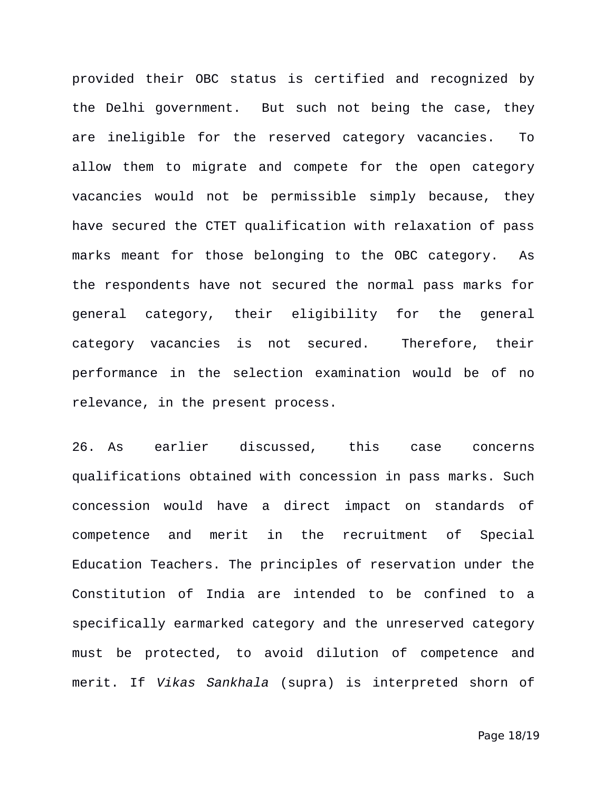provided their OBC status is certified and recognized by the Delhi government. But such not being the case, they are ineligible for the reserved category vacancies. To allow them to migrate and compete for the open category vacancies would not be permissible simply because, they have secured the CTET qualification with relaxation of pass marks meant for those belonging to the OBC category. As the respondents have not secured the normal pass marks for general category, their eligibility for the general category vacancies is not secured. Therefore, their performance in the selection examination would be of no relevance, in the present process.

26. As earlier discussed, this case concerns qualifications obtained with concession in pass marks. Such concession would have a direct impact on standards of competence and merit in the recruitment of Special Education Teachers. The principles of reservation under the Constitution of India are intended to be confined to a specifically earmarked category and the unreserved category must be protected, to avoid dilution of competence and merit. If *Vikas Sankhala* (supra) is interpreted shorn of